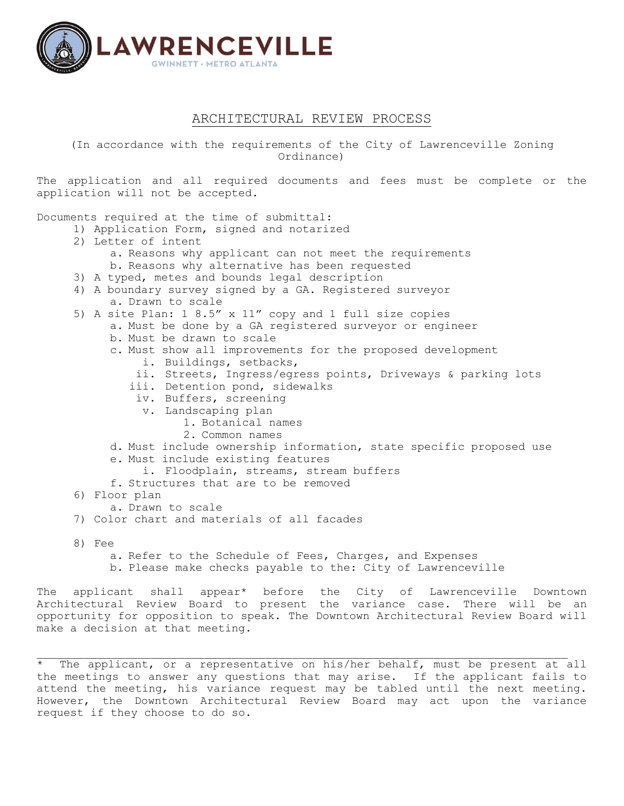

## ARCHITECTURAL REVIEW PROCESS

(In accordance with the requirements of the City of Lawrenceville Zoning Ordinance)

The application and all required documents and fees must be complete or the application will not be accepted.

Documents required at the time of submittal:

- 1) Application Form, signed and notarized
- 2) Letter of intent
	- a. Reasons why applicant can not meet the requirements
	- b. Reasons why alternative has been requested
- 3) A typed, metes and bounds legal description
- 4) A boundary survey signed by a GA. Registered surveyor a. Drawn to scale
- 5) A site Plan: 1 8.5" x 11" copy and 1 full size copies
	- a. Must be done by a GA registered surveyor or engineer
		- b. Must be drawn to scale
		- c. Must show all improvements for the proposed development
			- i. Buildings, setbacks,
			- ii. Streets, Ingress/egress points, Driveways & parking lots
			- iii. Detention pond, sidewalks
				- iv. Buffers, screening
				- v. Landscaping plan
					- 1. Botanical names
					- 2. Common names
	- d. Must include ownership information, state specific proposed use
	- e. Must include existing features
		- i. Floodplain, streams, stream buffers
	- f. Structures that are to be removed
- 6) Floor plan
	- a. Drawn to scale
- 7) Color chart and materials of all facades
- 8) Fee
	- a. Refer to the Schedule of Fees, Charges, and Expenses
	- b. Please make checks payable to the: City of Lawrenceville

The applicant shall appear\* before the City of Lawrenceville Downtown Architectural Review Board to present the variance case. There will be an opportunity for opposition to speak. The Downtown Architectural Review Board will make a decision at that meeting.

The applicant, or a representative on his/her behalf, must be present at all the meetings to answer any questions that may arise. If the applicant fails to attend the meeting, his variance request may be tabled until the next meeting. However, the Downtown Architectural Review Board may act upon the variance request if they choose to do so.